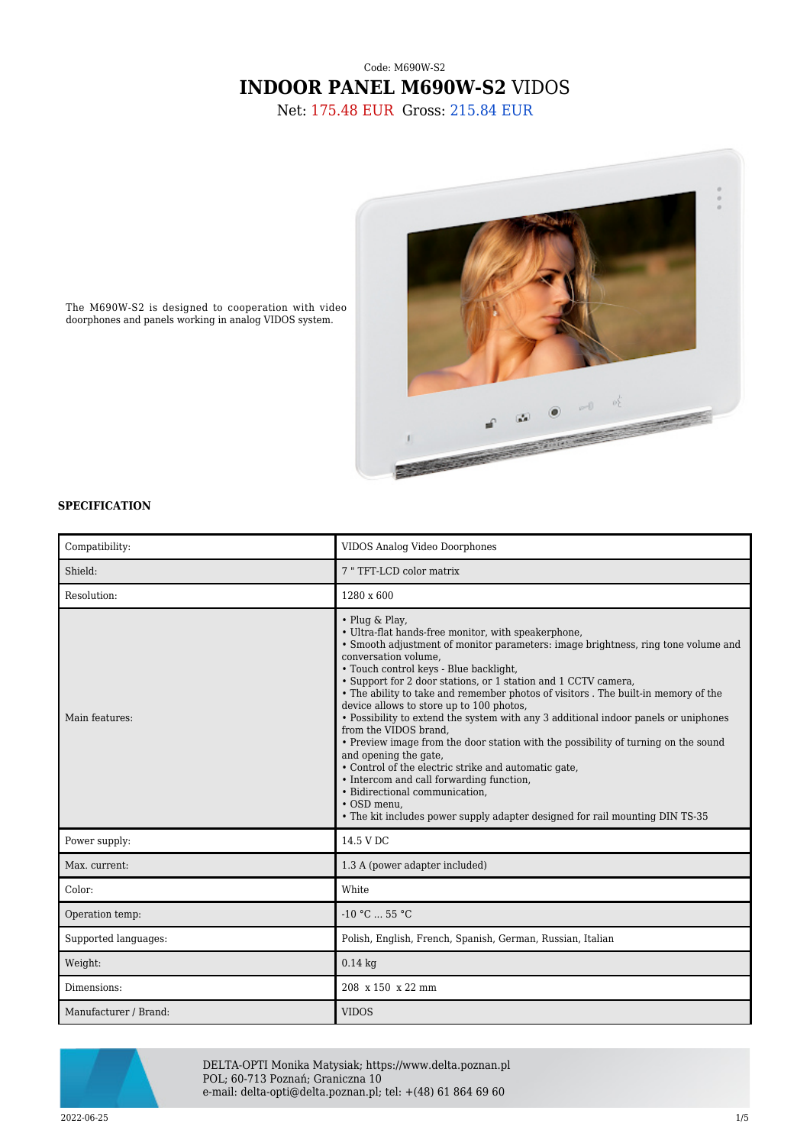## Code: M690W-S2 **INDOOR PANEL M690W-S2** VIDOS

Net: 175.48 EUR Gross: 215.84 EUR



The M690W-S2 is designed to cooperation with video doorphones and panels working in analog VIDOS system.

## **SPECIFICATION**

| Compatibility:        | VIDOS Analog Video Doorphones                                                                                                                                                                                                                                                                                                                                                                                                                                                                                                                                                                                                                                                                                                                                                                                                                                                                        |
|-----------------------|------------------------------------------------------------------------------------------------------------------------------------------------------------------------------------------------------------------------------------------------------------------------------------------------------------------------------------------------------------------------------------------------------------------------------------------------------------------------------------------------------------------------------------------------------------------------------------------------------------------------------------------------------------------------------------------------------------------------------------------------------------------------------------------------------------------------------------------------------------------------------------------------------|
| Shield:               | 7 " TFT-LCD color matrix                                                                                                                                                                                                                                                                                                                                                                                                                                                                                                                                                                                                                                                                                                                                                                                                                                                                             |
| Resolution:           | 1280 x 600                                                                                                                                                                                                                                                                                                                                                                                                                                                                                                                                                                                                                                                                                                                                                                                                                                                                                           |
| Main features:        | • Plug & Play,<br>• Ultra-flat hands-free monitor, with speakerphone,<br>• Smooth adjustment of monitor parameters: image brightness, ring tone volume and<br>conversation volume.<br>• Touch control keys - Blue backlight,<br>• Support for 2 door stations, or 1 station and 1 CCTV camera,<br>• The ability to take and remember photos of visitors . The built-in memory of the<br>device allows to store up to 100 photos,<br>• Possibility to extend the system with any 3 additional indoor panels or uniphones<br>from the VIDOS brand,<br>• Preview image from the door station with the possibility of turning on the sound<br>and opening the gate,<br>• Control of the electric strike and automatic gate,<br>• Intercom and call forwarding function,<br>• Bidirectional communication,<br>• OSD menu,<br>• The kit includes power supply adapter designed for rail mounting DIN TS-35 |
| Power supply:         | 14.5 V DC                                                                                                                                                                                                                                                                                                                                                                                                                                                                                                                                                                                                                                                                                                                                                                                                                                                                                            |
| Max. current:         | 1.3 A (power adapter included)                                                                                                                                                                                                                                                                                                                                                                                                                                                                                                                                                                                                                                                                                                                                                                                                                                                                       |
| Color:                | White                                                                                                                                                                                                                                                                                                                                                                                                                                                                                                                                                                                                                                                                                                                                                                                                                                                                                                |
| Operation temp:       | $-10 °C$ 55 °C                                                                                                                                                                                                                                                                                                                                                                                                                                                                                                                                                                                                                                                                                                                                                                                                                                                                                       |
| Supported languages:  | Polish, English, French, Spanish, German, Russian, Italian                                                                                                                                                                                                                                                                                                                                                                                                                                                                                                                                                                                                                                                                                                                                                                                                                                           |
| Weight:               | $0.14$ kg                                                                                                                                                                                                                                                                                                                                                                                                                                                                                                                                                                                                                                                                                                                                                                                                                                                                                            |
| Dimensions:           | 208 x 150 x 22 mm                                                                                                                                                                                                                                                                                                                                                                                                                                                                                                                                                                                                                                                                                                                                                                                                                                                                                    |
| Manufacturer / Brand: | <b>VIDOS</b>                                                                                                                                                                                                                                                                                                                                                                                                                                                                                                                                                                                                                                                                                                                                                                                                                                                                                         |



DELTA-OPTI Monika Matysiak; https://www.delta.poznan.pl POL; 60-713 Poznań; Graniczna 10 e-mail: delta-opti@delta.poznan.pl; tel: +(48) 61 864 69 60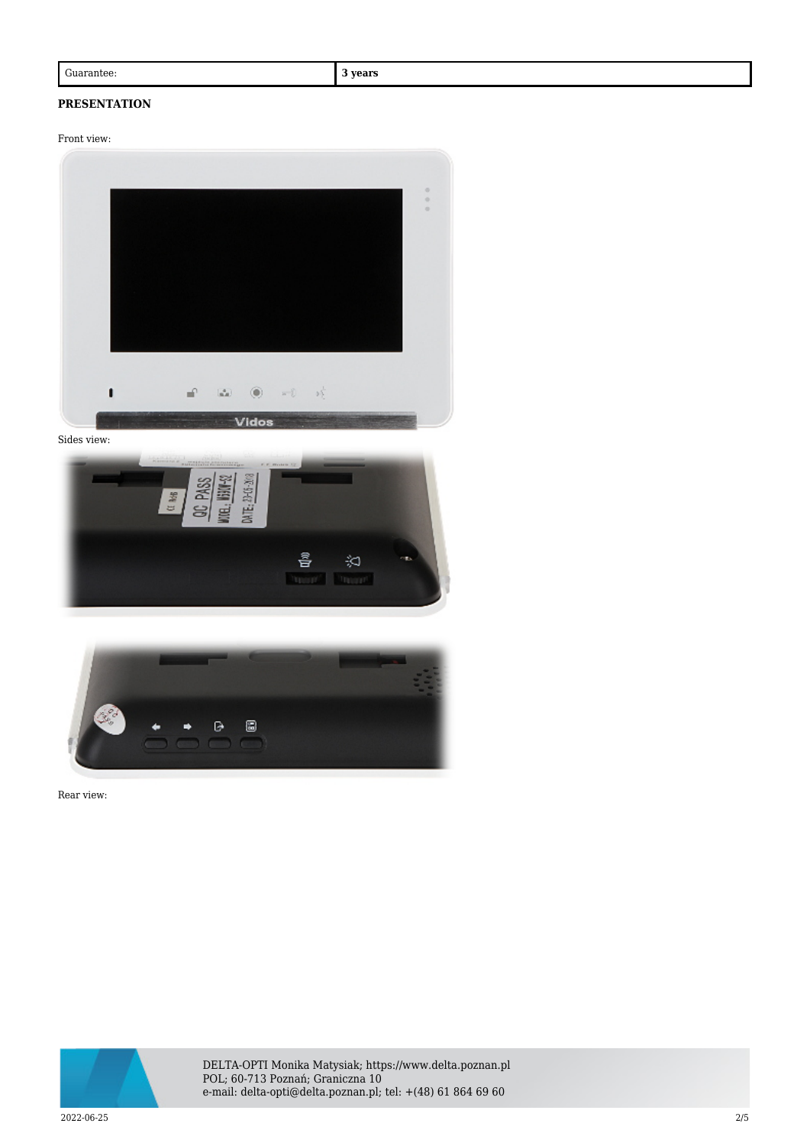| ╹⌒<br>$\mathbf{r}$<br>raniee.<br>лсата |  |
|----------------------------------------|--|
|                                        |  |

## **PRESENTATION**

Front view:



Sides view:





Rear view:



DELTA-OPTI Monika Matysiak; https://www.delta.poznan.pl POL; 60-713 Poznań; Graniczna 10 e-mail: delta-opti@delta.poznan.pl; tel: +(48) 61 864 69 60

2022-06-25 2/5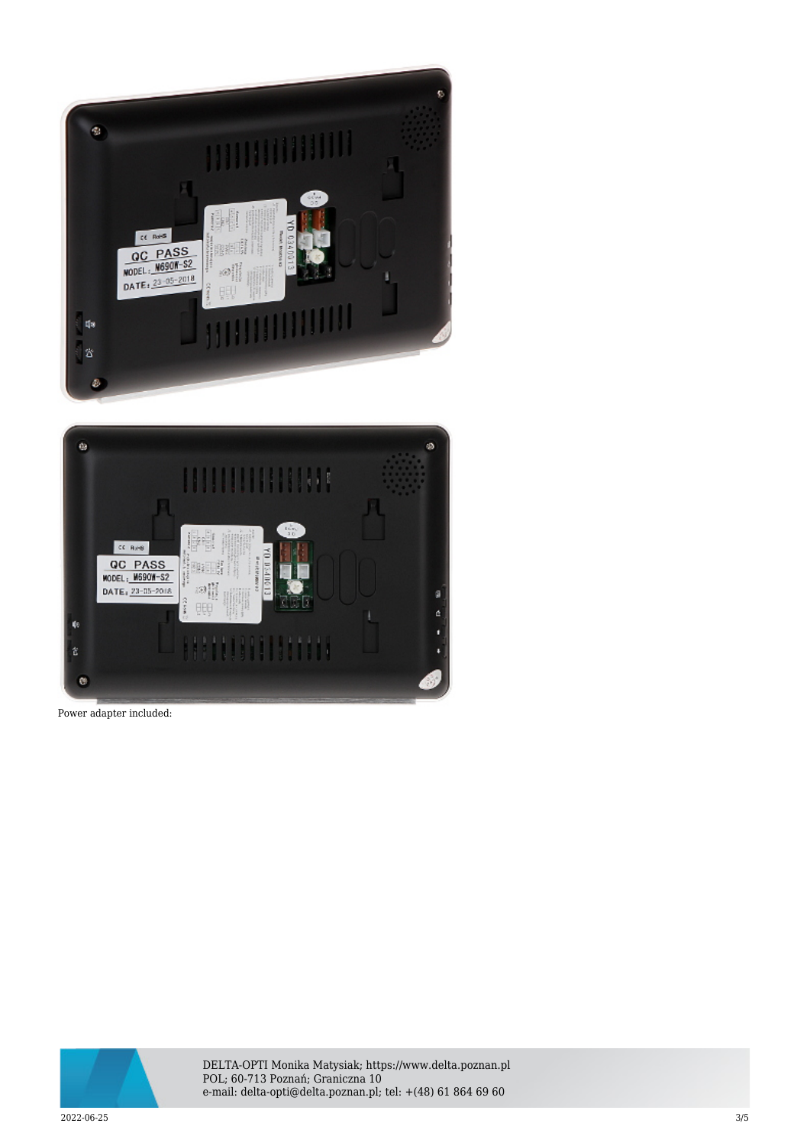



Power adapter included:



DELTA-OPTI Monika Matysiak; https://www.delta.poznan.pl POL; 60-713 Poznań; Graniczna 10 e-mail: delta-opti@delta.poznan.pl; tel: +(48) 61 864 69 60

2022-06-25 3/5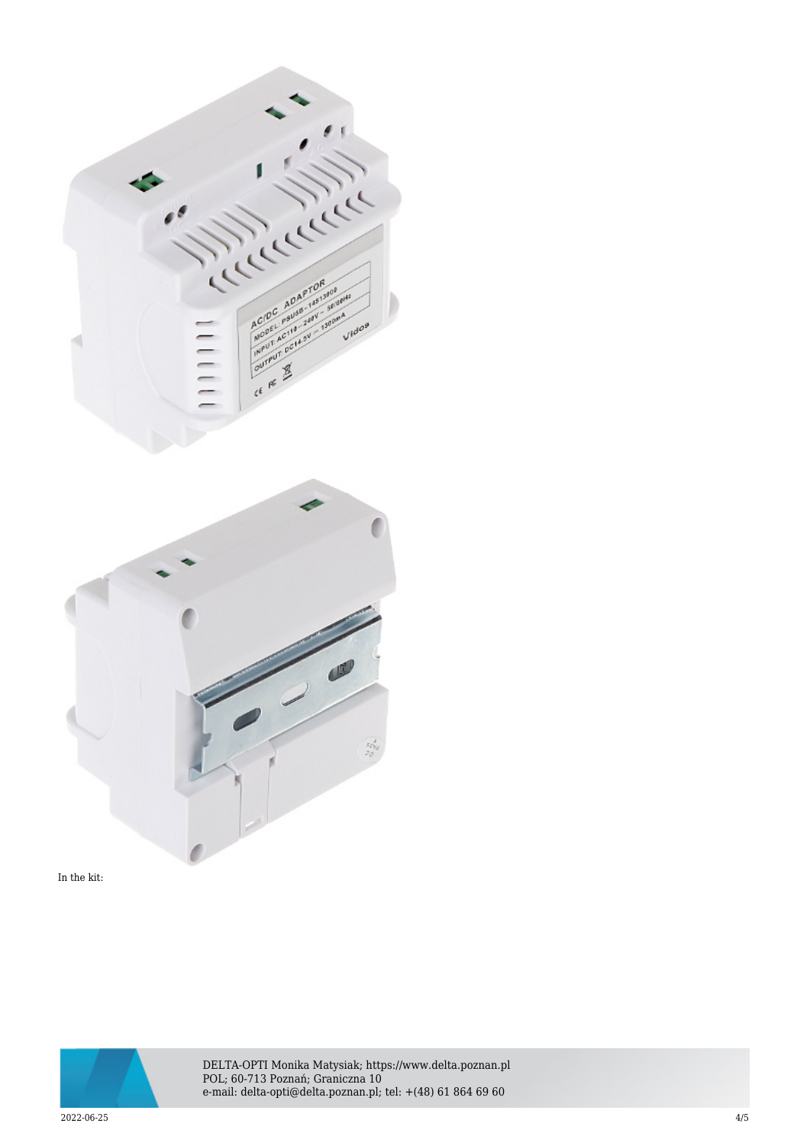

In the kit:



DELTA-OPTI Monika Matysiak; https://www.delta.poznan.pl POL; 60-713 Poznań; Graniczna 10 e-mail: delta-opti@delta.poznan.pl; tel: +(48) 61 864 69 60

2022-06-25 4/5